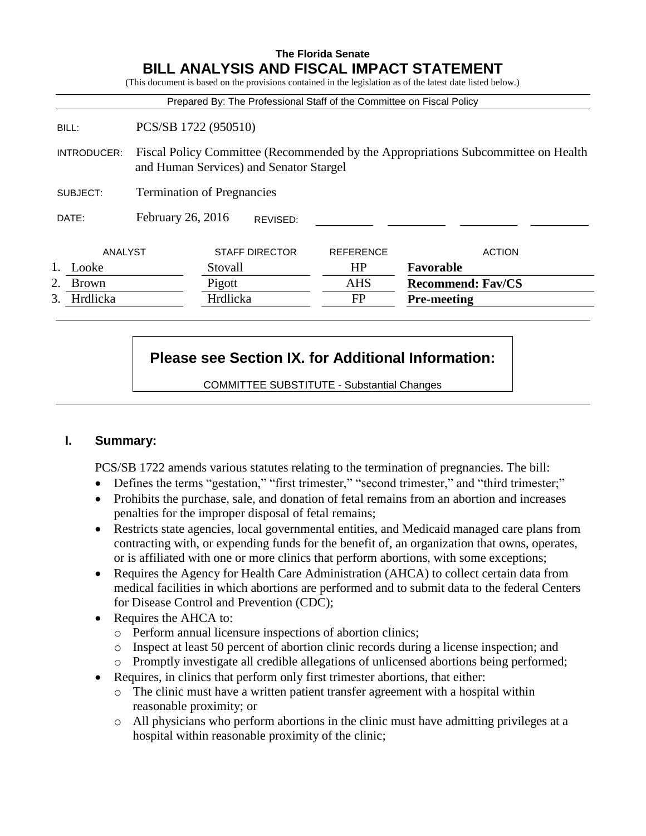## **The Florida Senate BILL ANALYSIS AND FISCAL IMPACT STATEMENT**

(This document is based on the provisions contained in the legislation as of the latest date listed below.) Prepared By: The Professional Staff of the Committee on Fiscal Policy BILL: PCS/SB 1722 (950510) INTRODUCER: Fiscal Policy Committee (Recommended by the Appropriations Subcommittee on Health and Human Services) and Senator Stargel SUBJECT: Termination of Pregnancies DATE: February 26, 2016 ANALYST STAFF DIRECTOR REFERENCE ACTION 1. Looke Stovall HP **Favorable** 2. Brown Pigott AHS **Recommend: Fav/CS** 3. Hrdlicka Hrdlicka FP **Pre-meeting** REVISED:

# **Please see Section IX. for Additional Information:**

COMMITTEE SUBSTITUTE - Substantial Changes

## **I. Summary:**

PCS/SB 1722 amends various statutes relating to the termination of pregnancies. The bill:

- Defines the terms "gestation," "first trimester," "second trimester," and "third trimester;"
- Prohibits the purchase, sale, and donation of fetal remains from an abortion and increases penalties for the improper disposal of fetal remains;
- Restricts state agencies, local governmental entities, and Medicaid managed care plans from contracting with, or expending funds for the benefit of, an organization that owns, operates, or is affiliated with one or more clinics that perform abortions, with some exceptions;
- Requires the Agency for Health Care Administration (AHCA) to collect certain data from medical facilities in which abortions are performed and to submit data to the federal Centers for Disease Control and Prevention (CDC);
- Requires the AHCA to:
	- o Perform annual licensure inspections of abortion clinics;
	- o Inspect at least 50 percent of abortion clinic records during a license inspection; and
	- o Promptly investigate all credible allegations of unlicensed abortions being performed;
- Requires, in clinics that perform only first trimester abortions, that either:
	- $\circ$  The clinic must have a written patient transfer agreement with a hospital within reasonable proximity; or
	- o All physicians who perform abortions in the clinic must have admitting privileges at a hospital within reasonable proximity of the clinic;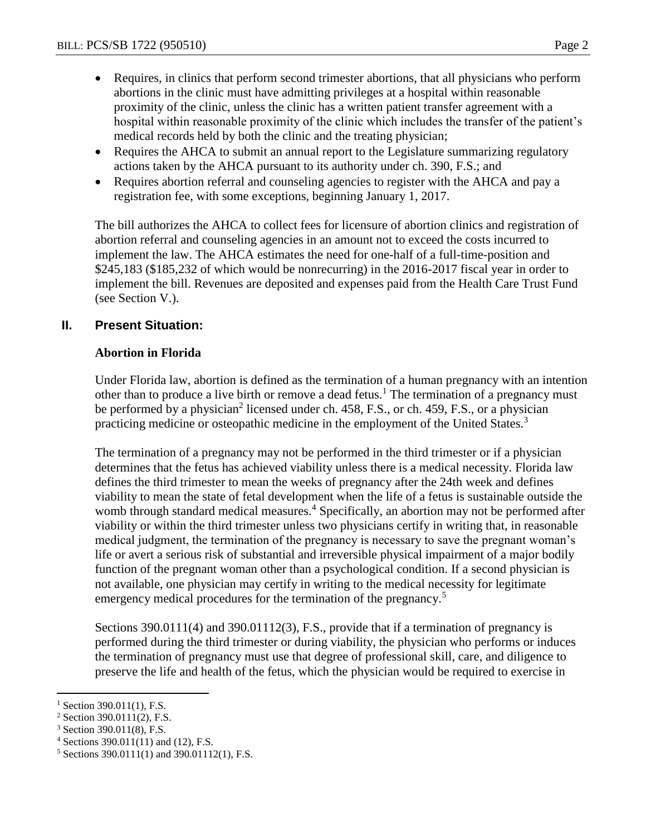- Requires, in clinics that perform second trimester abortions, that all physicians who perform abortions in the clinic must have admitting privileges at a hospital within reasonable proximity of the clinic, unless the clinic has a written patient transfer agreement with a hospital within reasonable proximity of the clinic which includes the transfer of the patient's medical records held by both the clinic and the treating physician;
- Requires the AHCA to submit an annual report to the Legislature summarizing regulatory actions taken by the AHCA pursuant to its authority under ch. 390, F.S.; and
- Requires abortion referral and counseling agencies to register with the AHCA and pay a registration fee, with some exceptions, beginning January 1, 2017.

The bill authorizes the AHCA to collect fees for licensure of abortion clinics and registration of abortion referral and counseling agencies in an amount not to exceed the costs incurred to implement the law. The AHCA estimates the need for one-half of a full-time-position and \$245,183 (\$185,232 of which would be nonrecurring) in the 2016-2017 fiscal year in order to implement the bill. Revenues are deposited and expenses paid from the Health Care Trust Fund (see Section V.).

## **II. Present Situation:**

#### **Abortion in Florida**

Under Florida law, abortion is defined as the termination of a human pregnancy with an intention other than to produce a live birth or remove a dead fetus.<sup>1</sup> The termination of a pregnancy must be performed by a physician<sup>2</sup> licensed under ch. 458, F.S., or ch. 459, F.S., or a physician practicing medicine or osteopathic medicine in the employment of the United States.<sup>3</sup>

The termination of a pregnancy may not be performed in the third trimester or if a physician determines that the fetus has achieved viability unless there is a medical necessity. Florida law defines the third trimester to mean the weeks of pregnancy after the 24th week and defines viability to mean the state of fetal development when the life of a fetus is sustainable outside the womb through standard medical measures.<sup>4</sup> Specifically, an abortion may not be performed after viability or within the third trimester unless two physicians certify in writing that, in reasonable medical judgment, the termination of the pregnancy is necessary to save the pregnant woman's life or avert a serious risk of substantial and irreversible physical impairment of a major bodily function of the pregnant woman other than a psychological condition. If a second physician is not available, one physician may certify in writing to the medical necessity for legitimate emergency medical procedures for the termination of the pregnancy.<sup>5</sup>

Sections 390.0111(4) and 390.01112(3), F.S., provide that if a termination of pregnancy is performed during the third trimester or during viability, the physician who performs or induces the termination of pregnancy must use that degree of professional skill, care, and diligence to preserve the life and health of the fetus, which the physician would be required to exercise in

 $^{1}$  Section 390.011(1), F.S.

 $2$  Section 390.0111(2), F.S.

<sup>3</sup> Section 390.011(8), F.S.

 $4$  Sections 390.011(11) and (12), F.S.

<sup>5</sup> Sections 390.0111(1) and 390.01112(1), F.S.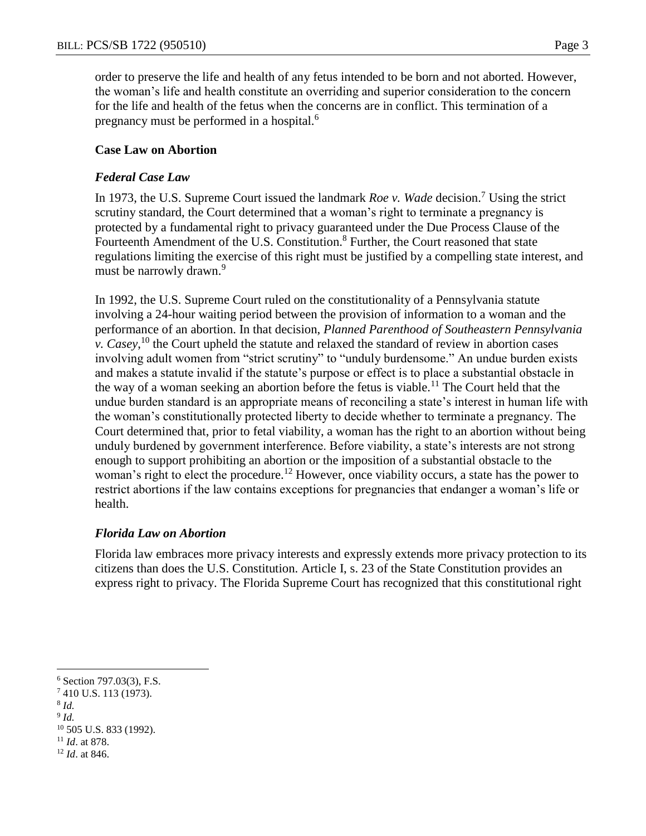order to preserve the life and health of any fetus intended to be born and not aborted. However, the woman's life and health constitute an overriding and superior consideration to the concern for the life and health of the fetus when the concerns are in conflict. This termination of a pregnancy must be performed in a hospital.<sup>6</sup>

#### **Case Law on Abortion**

#### *Federal Case Law*

In 1973, the U.S. Supreme Court issued the landmark *Roe v. Wade* decision.<sup>7</sup> Using the strict scrutiny standard, the Court determined that a woman's right to terminate a pregnancy is protected by a fundamental right to privacy guaranteed under the Due Process Clause of the Fourteenth Amendment of the U.S. Constitution.<sup>8</sup> Further, the Court reasoned that state regulations limiting the exercise of this right must be justified by a compelling state interest, and must be narrowly drawn.<sup>9</sup>

In 1992, the U.S. Supreme Court ruled on the constitutionality of a Pennsylvania statute involving a 24-hour waiting period between the provision of information to a woman and the performance of an abortion. In that decision, *Planned Parenthood of Southeastern Pennsylvania v. Casey*, <sup>10</sup> the Court upheld the statute and relaxed the standard of review in abortion cases involving adult women from "strict scrutiny" to "unduly burdensome." An undue burden exists and makes a statute invalid if the statute's purpose or effect is to place a substantial obstacle in the way of a woman seeking an abortion before the fetus is viable.<sup>11</sup> The Court held that the undue burden standard is an appropriate means of reconciling a state's interest in human life with the woman's constitutionally protected liberty to decide whether to terminate a pregnancy. The Court determined that, prior to fetal viability, a woman has the right to an abortion without being unduly burdened by government interference. Before viability, a state's interests are not strong enough to support prohibiting an abortion or the imposition of a substantial obstacle to the woman's right to elect the procedure.<sup>12</sup> However, once viability occurs, a state has the power to restrict abortions if the law contains exceptions for pregnancies that endanger a woman's life or health.

### *Florida Law on Abortion*

Florida law embraces more privacy interests and expressly extends more privacy protection to its citizens than does the U.S. Constitution. Article I, s. 23 of the State Constitution provides an express right to privacy. The Florida Supreme Court has recognized that this constitutional right

- <sup>7</sup> 410 U.S. 113 (1973).
- 8 *Id.*

 $\overline{a}$ 

9 *Id.*

 $6$  Section 797.03(3), F.S.

<sup>10</sup> 505 U.S. 833 (1992).

<sup>11</sup> *Id*. at 878.

<sup>12</sup> *Id*. at 846.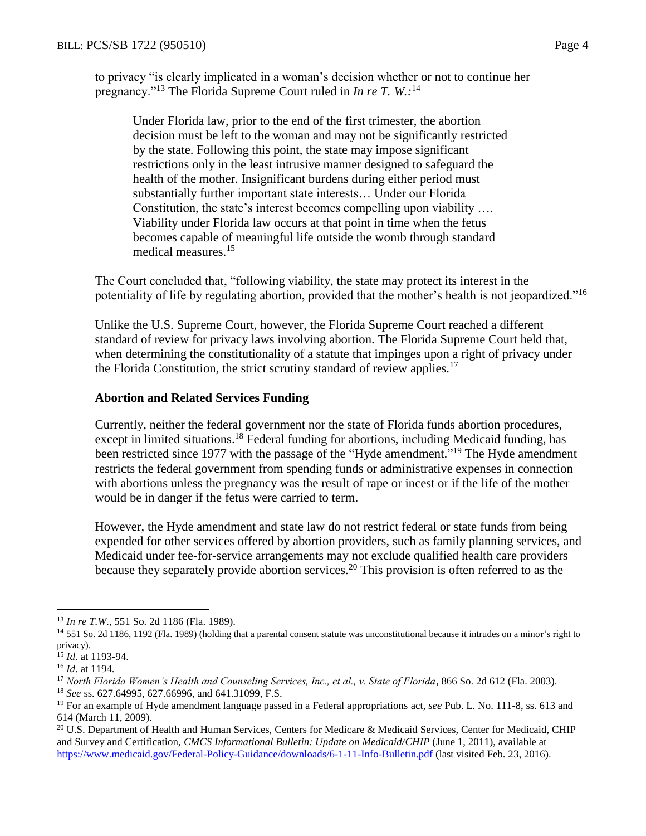to privacy "is clearly implicated in a woman's decision whether or not to continue her pregnancy."<sup>13</sup> The Florida Supreme Court ruled in *In re T. W.:* 14

Under Florida law, prior to the end of the first trimester, the abortion decision must be left to the woman and may not be significantly restricted by the state. Following this point, the state may impose significant restrictions only in the least intrusive manner designed to safeguard the health of the mother. Insignificant burdens during either period must substantially further important state interests… Under our Florida Constitution, the state's interest becomes compelling upon viability …. Viability under Florida law occurs at that point in time when the fetus becomes capable of meaningful life outside the womb through standard medical measures.<sup>15</sup>

The Court concluded that, "following viability, the state may protect its interest in the potentiality of life by regulating abortion, provided that the mother's health is not jeopardized."<sup>16</sup>

Unlike the U.S. Supreme Court, however, the Florida Supreme Court reached a different standard of review for privacy laws involving abortion. The Florida Supreme Court held that, when determining the constitutionality of a statute that impinges upon a right of privacy under the Florida Constitution, the strict scrutiny standard of review applies.<sup>17</sup>

#### **Abortion and Related Services Funding**

Currently, neither the federal government nor the state of Florida funds abortion procedures, except in limited situations.<sup>18</sup> Federal funding for abortions, including Medicaid funding, has been restricted since 1977 with the passage of the "Hyde amendment."<sup>19</sup> The Hyde amendment restricts the federal government from spending funds or administrative expenses in connection with abortions unless the pregnancy was the result of rape or incest or if the life of the mother would be in danger if the fetus were carried to term.

However, the Hyde amendment and state law do not restrict federal or state funds from being expended for other services offered by abortion providers, such as family planning services, and Medicaid under fee-for-service arrangements may not exclude qualified health care providers because they separately provide abortion services.<sup>20</sup> This provision is often referred to as the

<sup>13</sup> *In re T.W*., 551 So. 2d 1186 (Fla. 1989).

<sup>&</sup>lt;sup>14</sup> 551 So. 2d 1186, 1192 (Fla. 1989) (holding that a parental consent statute was unconstitutional because it intrudes on a minor's right to privacy).

<sup>15</sup> *Id*. at 1193-94.

<sup>16</sup> *Id*. at 1194.

<sup>17</sup> *North Florida Women's Health and Counseling Services, Inc., et al., v. State of Florida*, 866 So. 2d 612 (Fla. 2003).

<sup>18</sup> *See* ss. 627.64995, 627.66996, and 641.31099, F.S.

<sup>19</sup> For an example of Hyde amendment language passed in a Federal appropriations act, *see* Pub. L. No. 111-8, ss. 613 and 614 (March 11, 2009).

<sup>&</sup>lt;sup>20</sup> U.S. Department of Health and Human Services, Centers for Medicare & Medicaid Services, Center for Medicaid, CHIP and Survey and Certification, *CMCS Informational Bulletin: Update on Medicaid/CHIP* (June 1, 2011), available at <https://www.medicaid.gov/Federal-Policy-Guidance/downloads/6-1-11-Info-Bulletin.pdf> (last visited Feb. 23, 2016).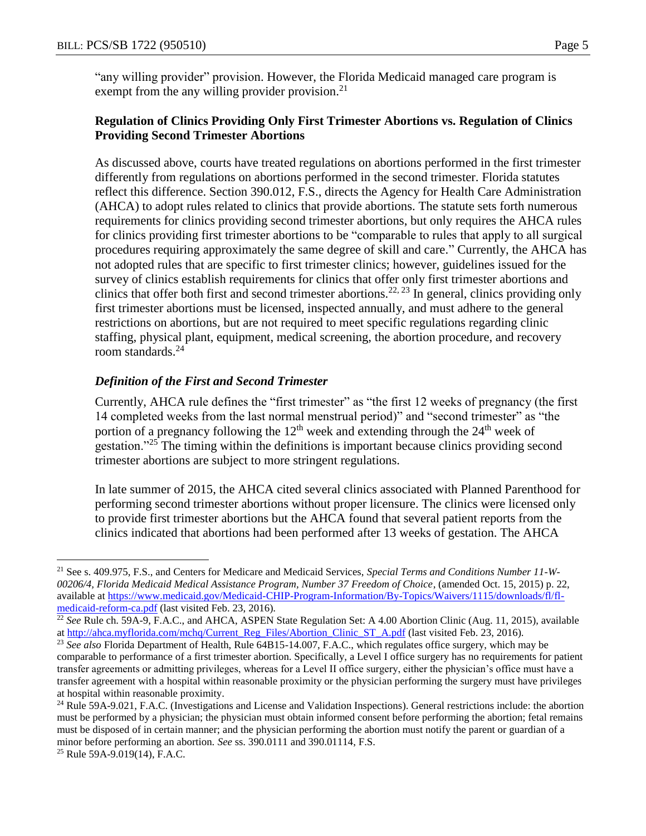"any willing provider" provision. However, the Florida Medicaid managed care program is exempt from the any willing provider provision.<sup>21</sup>

### **Regulation of Clinics Providing Only First Trimester Abortions vs. Regulation of Clinics Providing Second Trimester Abortions**

As discussed above, courts have treated regulations on abortions performed in the first trimester differently from regulations on abortions performed in the second trimester. Florida statutes reflect this difference. Section 390.012, F.S., directs the Agency for Health Care Administration (AHCA) to adopt rules related to clinics that provide abortions. The statute sets forth numerous requirements for clinics providing second trimester abortions, but only requires the AHCA rules for clinics providing first trimester abortions to be "comparable to rules that apply to all surgical procedures requiring approximately the same degree of skill and care." Currently, the AHCA has not adopted rules that are specific to first trimester clinics; however, guidelines issued for the survey of clinics establish requirements for clinics that offer only first trimester abortions and clinics that offer both first and second trimester abortions.<sup>22, 23</sup> In general, clinics providing only first trimester abortions must be licensed, inspected annually, and must adhere to the general restrictions on abortions, but are not required to meet specific regulations regarding clinic staffing, physical plant, equipment, medical screening, the abortion procedure, and recovery room standards.<sup>24</sup>

### *Definition of the First and Second Trimester*

Currently, AHCA rule defines the "first trimester" as "the first 12 weeks of pregnancy (the first 14 completed weeks from the last normal menstrual period)" and "second trimester" as "the portion of a pregnancy following the  $12<sup>th</sup>$  week and extending through the  $24<sup>th</sup>$  week of gestation."<sup>25</sup> The timing within the definitions is important because clinics providing second trimester abortions are subject to more stringent regulations.

In late summer of 2015, the AHCA cited several clinics associated with Planned Parenthood for performing second trimester abortions without proper licensure. The clinics were licensed only to provide first trimester abortions but the AHCA found that several patient reports from the clinics indicated that abortions had been performed after 13 weeks of gestation. The AHCA

<sup>21</sup> See s. 409.975, F.S., and Centers for Medicare and Medicaid Services, *Special Terms and Conditions Number 11-W-00206/4, Florida Medicaid Medical Assistance Program, Number 37 Freedom of Choice*, (amended Oct. 15, 2015) p. 22, available at [https://www.medicaid.gov/Medicaid-CHIP-Program-Information/By-Topics/Waivers/1115/downloads/fl/fl](https://www.medicaid.gov/Medicaid-CHIP-Program-Information/By-Topics/Waivers/1115/downloads/fl/fl-medicaid-reform-ca.pdf)[medicaid-reform-ca.pdf](https://www.medicaid.gov/Medicaid-CHIP-Program-Information/By-Topics/Waivers/1115/downloads/fl/fl-medicaid-reform-ca.pdf) (last visited Feb. 23, 2016).

<sup>22</sup> *See* Rule ch. 59A-9, F.A.C., and AHCA, ASPEN State Regulation Set: A 4.00 Abortion Clinic (Aug. 11, 2015), available a[t http://ahca.myflorida.com/mchq/Current\\_Reg\\_Files/Abortion\\_Clinic\\_ST\\_A.pdf](http://ahca.myflorida.com/mchq/Current_Reg_Files/Abortion_Clinic_ST_A.pdf) (last visited Feb. 23, 2016).

<sup>&</sup>lt;sup>23</sup> See also Florida Department of Health, Rule 64B15-14.007, F.A.C., which regulates office surgery, which may be comparable to performance of a first trimester abortion. Specifically, a Level I office surgery has no requirements for patient transfer agreements or admitting privileges, whereas for a Level II office surgery, either the physician's office must have a transfer agreement with a hospital within reasonable proximity or the physician performing the surgery must have privileges at hospital within reasonable proximity.

 $24$  Rule 59A-9.021, F.A.C. (Investigations and License and Validation Inspections). General restrictions include: the abortion must be performed by a physician; the physician must obtain informed consent before performing the abortion; fetal remains must be disposed of in certain manner; and the physician performing the abortion must notify the parent or guardian of a minor before performing an abortion. *See* ss. 390.0111 and 390.01114, F.S.

<sup>&</sup>lt;sup>25</sup> Rule 59A-9.019(14), F.A.C.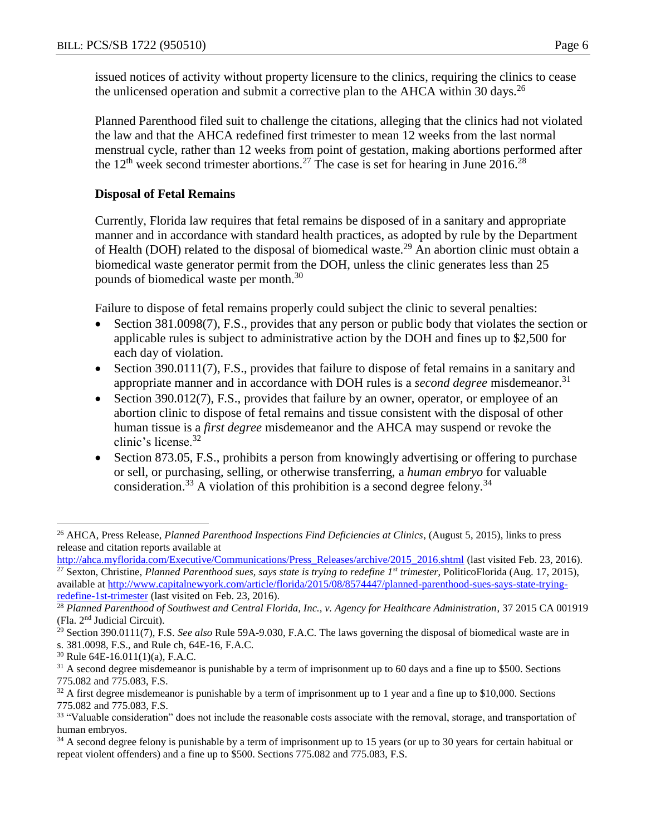issued notices of activity without property licensure to the clinics, requiring the clinics to cease the unlicensed operation and submit a corrective plan to the AHCA within 30 days.<sup>26</sup>

Planned Parenthood filed suit to challenge the citations, alleging that the clinics had not violated the law and that the AHCA redefined first trimester to mean 12 weeks from the last normal menstrual cycle, rather than 12 weeks from point of gestation, making abortions performed after the  $12<sup>th</sup>$  week second trimester abortions.<sup>27</sup> The case is set for hearing in June 2016.<sup>28</sup>

#### **Disposal of Fetal Remains**

Currently, Florida law requires that fetal remains be disposed of in a sanitary and appropriate manner and in accordance with standard health practices, as adopted by rule by the Department of Health (DOH) related to the disposal of biomedical waste.<sup>29</sup> An abortion clinic must obtain a biomedical waste generator permit from the DOH, unless the clinic generates less than 25 pounds of biomedical waste per month.<sup>30</sup>

Failure to dispose of fetal remains properly could subject the clinic to several penalties:

- Section 381.0098(7), F.S., provides that any person or public body that violates the section or applicable rules is subject to administrative action by the DOH and fines up to \$2,500 for each day of violation.
- Section 390.0111(7), F.S., provides that failure to dispose of fetal remains in a sanitary and appropriate manner and in accordance with DOH rules is a *second degree* misdemeanor.<sup>31</sup>
- Section 390.012(7), F.S., provides that failure by an owner, operator, or employee of an abortion clinic to dispose of fetal remains and tissue consistent with the disposal of other human tissue is a *first degree* misdemeanor and the AHCA may suspend or revoke the clinic's license.<sup>32</sup>
- Section 873.05, F.S., prohibits a person from knowingly advertising or offering to purchase or sell, or purchasing, selling, or otherwise transferring, a *human embryo* for valuable consideration.<sup>33</sup> A violation of this prohibition is a second degree felony.<sup>34</sup>

 $\overline{a}$ <sup>26</sup> AHCA, Press Release, *Planned Parenthood Inspections Find Deficiencies at Clinics*, (August 5, 2015), links to press release and citation reports available at

[http://ahca.myflorida.com/Executive/Communications/Press\\_Releases/archive/2015\\_2016.shtml](http://ahca.myflorida.com/Executive/Communications/Press_Releases/archive/2015_2016.shtml) (last visited Feb. 23, 2016). <sup>27</sup> Sexton, Christine, *Planned Parenthood sues, says state is trying to redefine 1st trimester*, PoliticoFlorida (Aug. 17, 2015), available at [http://www.capitalnewyork.com/article/florida/2015/08/8574447/planned-parenthood-sues-says-state-trying](http://www.capitalnewyork.com/article/florida/2015/08/8574447/planned-parenthood-sues-says-state-trying-redefine-1st-trimester)[redefine-1st-trimester](http://www.capitalnewyork.com/article/florida/2015/08/8574447/planned-parenthood-sues-says-state-trying-redefine-1st-trimester) (last visited on Feb. 23, 2016).

<sup>28</sup> *Planned Parenthood of Southwest and Central Florida, Inc., v. Agency for Healthcare Administration*, 37 2015 CA 001919 (Fla. 2nd Judicial Circuit).

<sup>29</sup> Section 390.0111(7), F.S. *See also* Rule 59A-9.030, F.A.C. The laws governing the disposal of biomedical waste are in s. 381.0098, F.S., and Rule ch, 64E-16, F.A.C.

<sup>30</sup> Rule 64E-16.011(1)(a), F.A.C.

 $31$  A second degree misdemeanor is punishable by a term of imprisonment up to 60 days and a fine up to \$500. Sections 775.082 and 775.083, F.S.

 $32$  A first degree misdemeanor is punishable by a term of imprisonment up to 1 year and a fine up to \$10,000. Sections 775.082 and 775.083, F.S.

<sup>&</sup>lt;sup>33</sup> "Valuable consideration" does not include the reasonable costs associate with the removal, storage, and transportation of human embryos.

<sup>&</sup>lt;sup>34</sup> A second degree felony is punishable by a term of imprisonment up to 15 years (or up to 30 years for certain habitual or repeat violent offenders) and a fine up to \$500. Sections 775.082 and 775.083, F.S.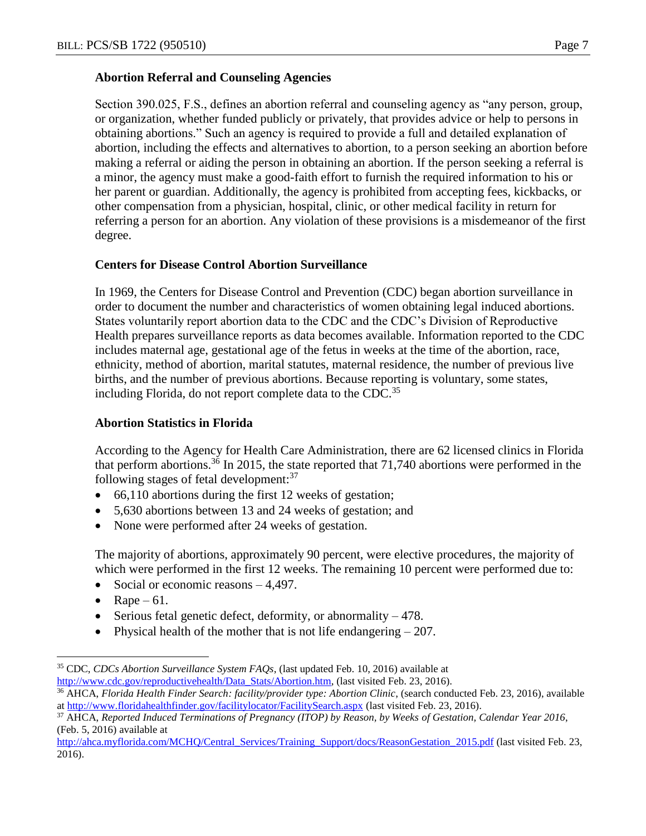#### **Abortion Referral and Counseling Agencies**

Section 390.025, F.S., defines an abortion referral and counseling agency as "any person, group, or organization, whether funded publicly or privately, that provides advice or help to persons in obtaining abortions." Such an agency is required to provide a full and detailed explanation of abortion, including the effects and alternatives to abortion, to a person seeking an abortion before making a referral or aiding the person in obtaining an abortion. If the person seeking a referral is a minor, the agency must make a good-faith effort to furnish the required information to his or her parent or guardian. Additionally, the agency is prohibited from accepting fees, kickbacks, or other compensation from a physician, hospital, clinic, or other medical facility in return for referring a person for an abortion. Any violation of these provisions is a misdemeanor of the first degree.

#### **Centers for Disease Control Abortion Surveillance**

In 1969, the Centers for Disease Control and Prevention (CDC) began abortion surveillance in order to document the number and characteristics of women obtaining legal induced abortions. States voluntarily report abortion data to the CDC and the CDC's Division of Reproductive Health prepares surveillance reports as data becomes available. Information reported to the CDC includes maternal age, gestational age of the fetus in weeks at the time of the abortion, race, ethnicity, method of abortion, marital statutes, maternal residence, the number of previous live births, and the number of previous abortions. Because reporting is voluntary, some states, including Florida, do not report complete data to the CDC.<sup>35</sup>

### **Abortion Statistics in Florida**

According to the Agency for Health Care Administration, there are 62 licensed clinics in Florida that perform abortions.<sup>36</sup> In 2015, the state reported that 71,740 abortions were performed in the following stages of fetal development: $37$ 

- 66,110 abortions during the first 12 weeks of gestation;
- 5,630 abortions between 13 and 24 weeks of gestation; and
- None were performed after 24 weeks of gestation.

The majority of abortions, approximately 90 percent, were elective procedures, the majority of which were performed in the first 12 weeks. The remaining 10 percent were performed due to:

- Social or economic reasons  $-4,497$ .
- Rape  $61$ .

- Serious fetal genetic defect, deformity, or abnormality 478.
- Physical health of the mother that is not life endangering  $-207$ .

<sup>35</sup> CDC, *CDCs Abortion Surveillance System FAQs*, (last updated Feb. 10, 2016) available at [http://www.cdc.gov/reproductivehealth/Data\\_Stats/Abortion.htm,](http://www.cdc.gov/reproductivehealth/Data_Stats/Abortion.htm) (last visited Feb. 23, 2016).

<sup>36</sup> AHCA, *Florida Health Finder Search: facility/provider type: Abortion Clinic*, (search conducted Feb. 23, 2016), available a[t http://www.floridahealthfinder.gov/facilitylocator/FacilitySearch.aspx](http://www.floridahealthfinder.gov/facilitylocator/FacilitySearch.aspx) (last visited Feb. 23, 2016).

<sup>37</sup> AHCA, *Reported Induced Terminations of Pregnancy (ITOP) by Reason, by Weeks of Gestation, Calendar Year 2016*, (Feb. 5, 2016) available at

http://ahca.myflorida.com/MCHO/Central\_Services/Training\_Support/docs/ReasonGestation\_2015.pdf (last visited Feb. 23, 2016).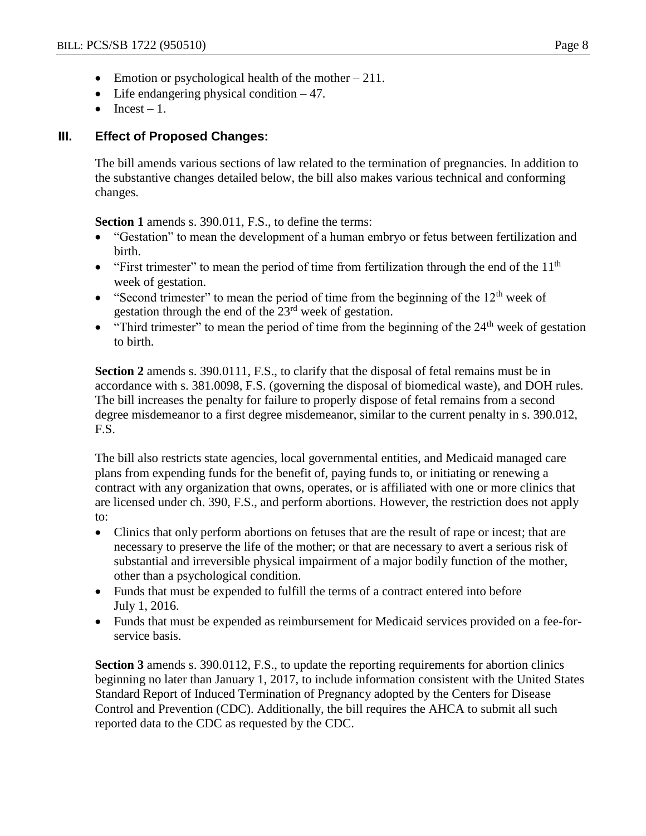- Emotion or psychological health of the mother  $-211$ .
- $\bullet$  Life endangering physical condition  $-47$ .
- $\bullet$  Incest 1.

## **III. Effect of Proposed Changes:**

The bill amends various sections of law related to the termination of pregnancies. In addition to the substantive changes detailed below, the bill also makes various technical and conforming changes.

**Section 1** amends s. 390.011, F.S., to define the terms:

- "Gestation" to mean the development of a human embryo or fetus between fertilization and birth.
- $\bullet$  "First trimester" to mean the period of time from fertilization through the end of the 11<sup>th</sup> week of gestation.
- "Second trimester" to mean the period of time from the beginning of the  $12<sup>th</sup>$  week of gestation through the end of the 23rd week of gestation.
- "Third trimester" to mean the period of time from the beginning of the  $24<sup>th</sup>$  week of gestation to birth.

**Section 2** amends s. 390.0111, F.S., to clarify that the disposal of fetal remains must be in accordance with s. 381.0098, F.S. (governing the disposal of biomedical waste), and DOH rules. The bill increases the penalty for failure to properly dispose of fetal remains from a second degree misdemeanor to a first degree misdemeanor, similar to the current penalty in s. 390.012, F.S.

The bill also restricts state agencies, local governmental entities, and Medicaid managed care plans from expending funds for the benefit of, paying funds to, or initiating or renewing a contract with any organization that owns, operates, or is affiliated with one or more clinics that are licensed under ch. 390, F.S., and perform abortions. However, the restriction does not apply to:

- Clinics that only perform abortions on fetuses that are the result of rape or incest; that are necessary to preserve the life of the mother; or that are necessary to avert a serious risk of substantial and irreversible physical impairment of a major bodily function of the mother, other than a psychological condition.
- Funds that must be expended to fulfill the terms of a contract entered into before July 1, 2016.
- Funds that must be expended as reimbursement for Medicaid services provided on a fee-forservice basis.

**Section 3** amends s. 390.0112, F.S., to update the reporting requirements for abortion clinics beginning no later than January 1, 2017, to include information consistent with the United States Standard Report of Induced Termination of Pregnancy adopted by the Centers for Disease Control and Prevention (CDC). Additionally, the bill requires the AHCA to submit all such reported data to the CDC as requested by the CDC.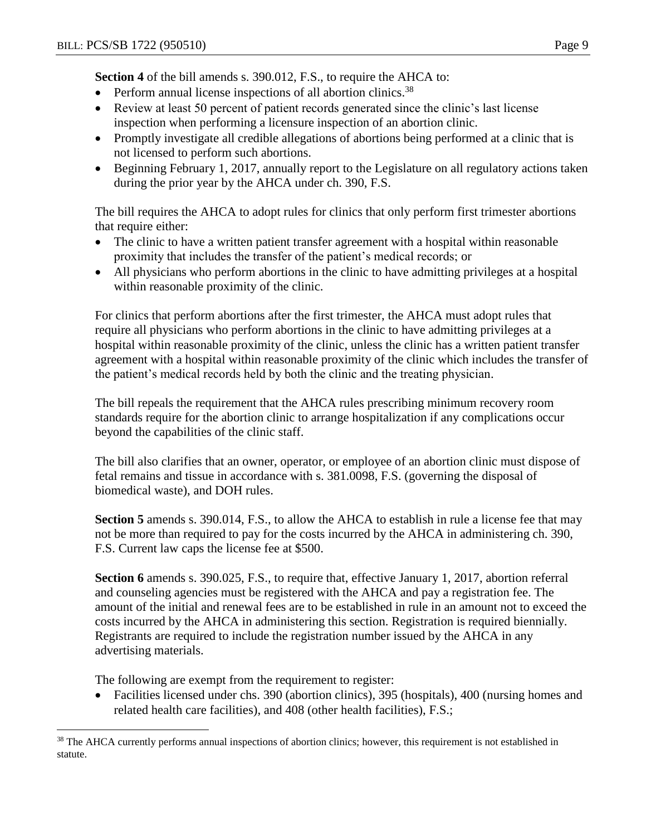**Section 4** of the bill amends s. 390.012, F.S., to require the AHCA to:

- Perform annual license inspections of all abortion clinics.<sup>38</sup>
- Review at least 50 percent of patient records generated since the clinic's last license inspection when performing a licensure inspection of an abortion clinic.
- Promptly investigate all credible allegations of abortions being performed at a clinic that is not licensed to perform such abortions.
- Beginning February 1, 2017, annually report to the Legislature on all regulatory actions taken during the prior year by the AHCA under ch. 390, F.S.

The bill requires the AHCA to adopt rules for clinics that only perform first trimester abortions that require either:

- The clinic to have a written patient transfer agreement with a hospital within reasonable proximity that includes the transfer of the patient's medical records; or
- All physicians who perform abortions in the clinic to have admitting privileges at a hospital within reasonable proximity of the clinic.

For clinics that perform abortions after the first trimester, the AHCA must adopt rules that require all physicians who perform abortions in the clinic to have admitting privileges at a hospital within reasonable proximity of the clinic, unless the clinic has a written patient transfer agreement with a hospital within reasonable proximity of the clinic which includes the transfer of the patient's medical records held by both the clinic and the treating physician.

The bill repeals the requirement that the AHCA rules prescribing minimum recovery room standards require for the abortion clinic to arrange hospitalization if any complications occur beyond the capabilities of the clinic staff.

The bill also clarifies that an owner, operator, or employee of an abortion clinic must dispose of fetal remains and tissue in accordance with s. 381.0098, F.S. (governing the disposal of biomedical waste), and DOH rules.

**Section 5** amends s. 390.014, F.S., to allow the AHCA to establish in rule a license fee that may not be more than required to pay for the costs incurred by the AHCA in administering ch. 390, F.S. Current law caps the license fee at \$500.

**Section 6** amends s. 390.025, F.S., to require that, effective January 1, 2017, abortion referral and counseling agencies must be registered with the AHCA and pay a registration fee. The amount of the initial and renewal fees are to be established in rule in an amount not to exceed the costs incurred by the AHCA in administering this section. Registration is required biennially. Registrants are required to include the registration number issued by the AHCA in any advertising materials.

The following are exempt from the requirement to register:

 $\overline{a}$ 

• Facilities licensed under chs. 390 (abortion clinics), 395 (hospitals), 400 (nursing homes and related health care facilities), and 408 (other health facilities), F.S.;

<sup>&</sup>lt;sup>38</sup> The AHCA currently performs annual inspections of abortion clinics; however, this requirement is not established in statute.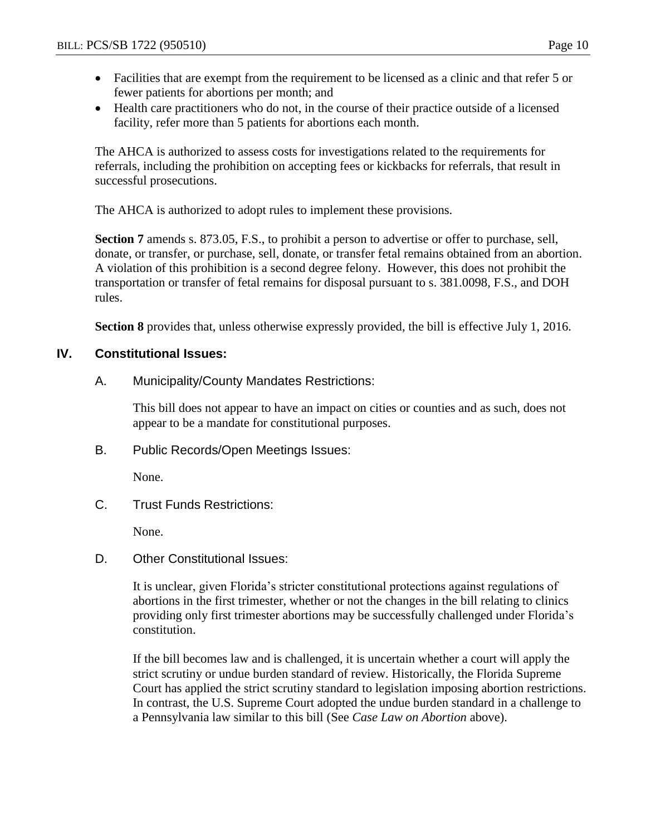- Facilities that are exempt from the requirement to be licensed as a clinic and that refer 5 or fewer patients for abortions per month; and
- Health care practitioners who do not, in the course of their practice outside of a licensed facility, refer more than 5 patients for abortions each month.

The AHCA is authorized to assess costs for investigations related to the requirements for referrals, including the prohibition on accepting fees or kickbacks for referrals, that result in successful prosecutions.

The AHCA is authorized to adopt rules to implement these provisions.

**Section 7** amends s. 873.05, F.S., to prohibit a person to advertise or offer to purchase, sell, donate, or transfer, or purchase, sell, donate, or transfer fetal remains obtained from an abortion. A violation of this prohibition is a second degree felony. However, this does not prohibit the transportation or transfer of fetal remains for disposal pursuant to s. 381.0098, F.S., and DOH rules.

**Section 8** provides that, unless otherwise expressly provided, the bill is effective July 1, 2016.

### **IV. Constitutional Issues:**

A. Municipality/County Mandates Restrictions:

This bill does not appear to have an impact on cities or counties and as such, does not appear to be a mandate for constitutional purposes.

B. Public Records/Open Meetings Issues:

None.

C. Trust Funds Restrictions:

None.

D. Other Constitutional Issues:

It is unclear, given Florida's stricter constitutional protections against regulations of abortions in the first trimester, whether or not the changes in the bill relating to clinics providing only first trimester abortions may be successfully challenged under Florida's constitution.

If the bill becomes law and is challenged, it is uncertain whether a court will apply the strict scrutiny or undue burden standard of review. Historically, the Florida Supreme Court has applied the strict scrutiny standard to legislation imposing abortion restrictions. In contrast, the U.S. Supreme Court adopted the undue burden standard in a challenge to a Pennsylvania law similar to this bill (See *Case Law on Abortion* above).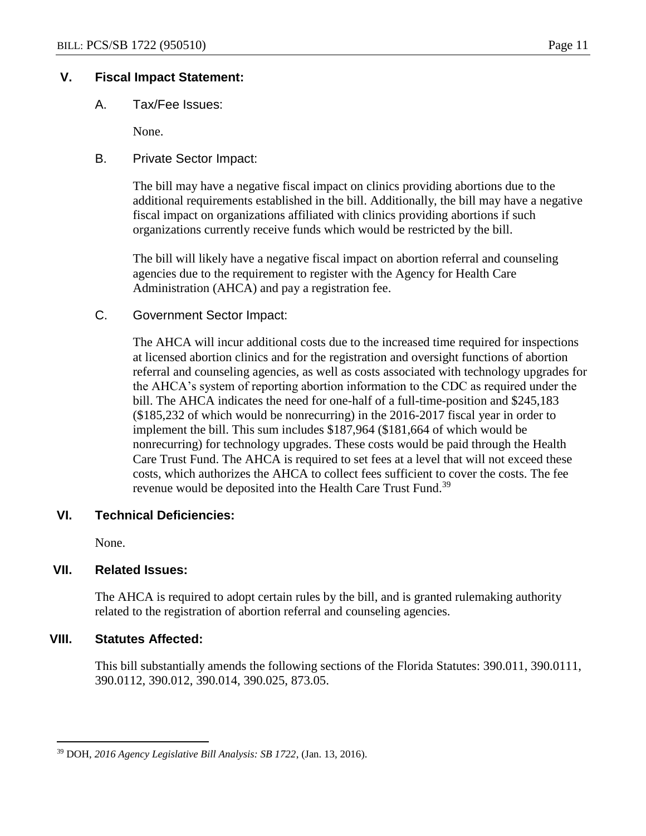### **V. Fiscal Impact Statement:**

A. Tax/Fee Issues:

None.

B. Private Sector Impact:

The bill may have a negative fiscal impact on clinics providing abortions due to the additional requirements established in the bill. Additionally, the bill may have a negative fiscal impact on organizations affiliated with clinics providing abortions if such organizations currently receive funds which would be restricted by the bill.

The bill will likely have a negative fiscal impact on abortion referral and counseling agencies due to the requirement to register with the Agency for Health Care Administration (AHCA) and pay a registration fee.

C. Government Sector Impact:

The AHCA will incur additional costs due to the increased time required for inspections at licensed abortion clinics and for the registration and oversight functions of abortion referral and counseling agencies, as well as costs associated with technology upgrades for the AHCA's system of reporting abortion information to the CDC as required under the bill. The AHCA indicates the need for one-half of a full-time-position and \$245,183 (\$185,232 of which would be nonrecurring) in the 2016-2017 fiscal year in order to implement the bill. This sum includes \$187,964 (\$181,664 of which would be nonrecurring) for technology upgrades. These costs would be paid through the Health Care Trust Fund. The AHCA is required to set fees at a level that will not exceed these costs, which authorizes the AHCA to collect fees sufficient to cover the costs. The fee revenue would be deposited into the Health Care Trust Fund.<sup>39</sup>

### **VI. Technical Deficiencies:**

None.

### **VII. Related Issues:**

The AHCA is required to adopt certain rules by the bill, and is granted rulemaking authority related to the registration of abortion referral and counseling agencies.

### **VIII. Statutes Affected:**

 $\overline{a}$ 

This bill substantially amends the following sections of the Florida Statutes: 390.011, 390.0111, 390.0112, 390.012, 390.014, 390.025, 873.05.

<sup>39</sup> DOH, *2016 Agency Legislative Bill Analysis: SB 1722*, (Jan. 13, 2016).